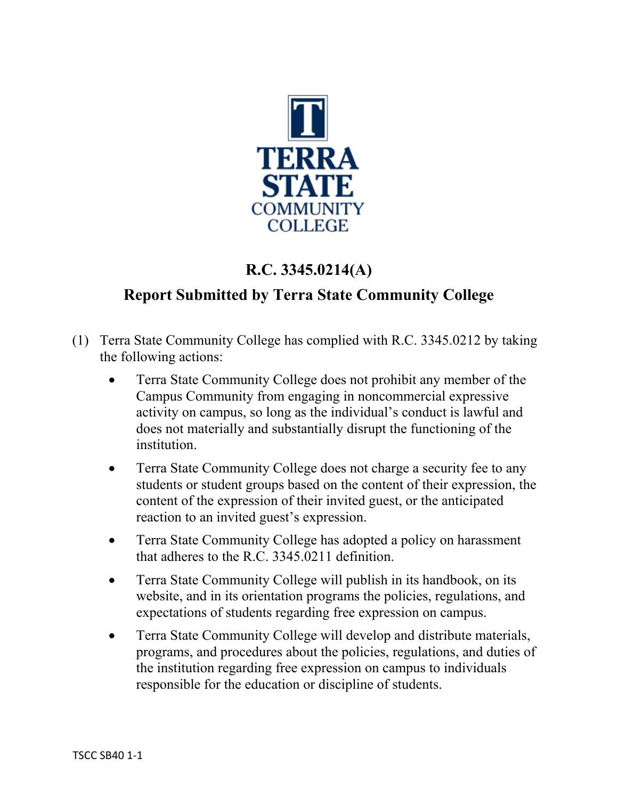

## **R.C. 3345.0214(A)**

## **Report Submitted by Terra State Community College**

- (1) Terra State Community College has complied with R.C. 3345.0212 by taking the following actions:
	- Terra State Community College does not prohibit any member of the Campus Community from engaging in noncommercial expressive activity on campus, so long as the individual's conduct is lawful and does not materially and substantially disrupt the functioning of the institution.
	- Terra State Community College does not charge a security fee to any students or student groups based on the content of their expression, the content of the expression of their invited guest, or the anticipated reaction to an invited guest's expression.
	- Terra State Community College has adopted a policy on harassment that adheres to the R.C. 3345.0211 definition.
	- Terra State Community College will publish in its handbook, on its website, and in its orientation programs the policies, regulations, and expectations of students regarding free expression on campus.
	- Terra State Community College will develop and distribute materials, programs, and procedures about the policies, regulations, and duties of the institution regarding free expression on campus to individuals responsible for the education or discipline of students.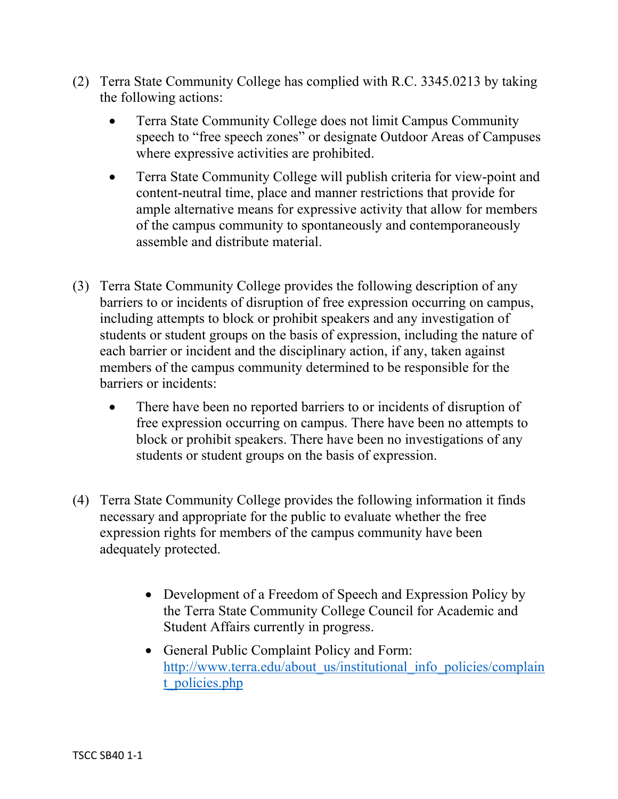- (2) Terra State Community College has complied with R.C. 3345.0213 by taking the following actions:
	- Terra State Community College does not limit Campus Community speech to "free speech zones" or designate Outdoor Areas of Campuses where expressive activities are prohibited.
	- Terra State Community College will publish criteria for view-point and content-neutral time, place and manner restrictions that provide for ample alternative means for expressive activity that allow for members of the campus community to spontaneously and contemporaneously assemble and distribute material.
- (3) Terra State Community College provides the following description of any barriers to or incidents of disruption of free expression occurring on campus, including attempts to block or prohibit speakers and any investigation of students or student groups on the basis of expression, including the nature of each barrier or incident and the disciplinary action, if any, taken against members of the campus community determined to be responsible for the barriers or incidents:
	- There have been no reported barriers to or incidents of disruption of free expression occurring on campus. There have been no attempts to block or prohibit speakers. There have been no investigations of any students or student groups on the basis of expression.
- (4) Terra State Community College provides the following information it finds necessary and appropriate for the public to evaluate whether the free expression rights for members of the campus community have been adequately protected.
	- Development of a Freedom of Speech and Expression Policy by the Terra State Community College Council for Academic and Student Affairs currently in progress.
	- General Public Complaint Policy and Form: [http://www.terra.edu/about\\_us/institutional\\_info\\_policies/complain](http://www.terra.edu/about_us/institutional_info_policies/complaint_policies.php) [t\\_policies.php](http://www.terra.edu/about_us/institutional_info_policies/complaint_policies.php)